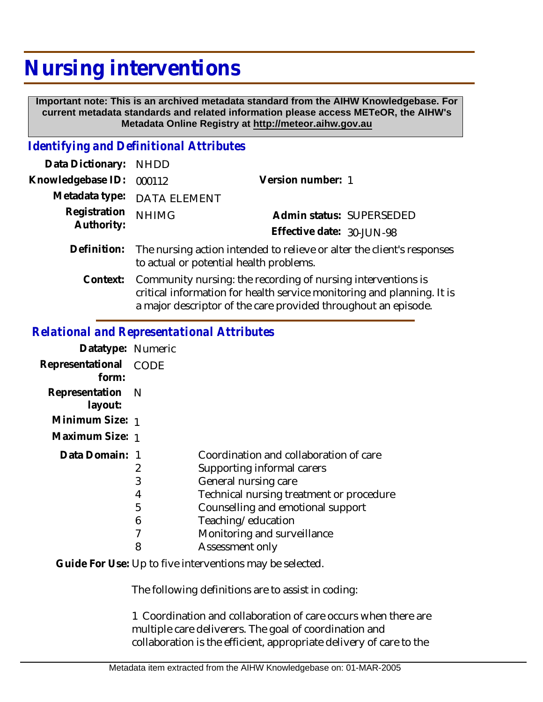## **Nursing interventions**

 **Important note: This is an archived metadata standard from the AIHW Knowledgebase. For current metadata standards and related information please access METeOR, the AIHW's Metadata Online Registry at http://meteor.aihw.gov.au**

## *Identifying and Definitional Attributes*

| Data Dictionary: NHDD      |                                                                                                                   |                           |  |
|----------------------------|-------------------------------------------------------------------------------------------------------------------|---------------------------|--|
| Knowledgebase ID:          | 000112                                                                                                            | Version number: 1         |  |
|                            | Metadata type: DATA ELEMENT                                                                                       |                           |  |
| Registration<br>Authority: | <b>NHIMG</b>                                                                                                      | Admin status: SUPERSEDED  |  |
|                            |                                                                                                                   | Effective date: 30-JUN-98 |  |
| Definition:                | The nursing action intended to relieve or alter the client's responses<br>to actual or potential health problems. |                           |  |
| Context:                   | Community nursing: the recording of nursing interventions is                                                      |                           |  |

critical information for health service monitoring and planning. It is a major descriptor of the care provided throughout an episode.

## *Relational and Representational Attributes*

| Datatype: Numeric |                                          |
|-------------------|------------------------------------------|
| CODE              |                                          |
| - N               |                                          |
| Minimum Size: 1   |                                          |
| Maximum Size: 1   |                                          |
| Data Domain: 1    | Coordination and collaboration of care   |
| 2                 | Supporting informal carers               |
| 3                 | General nursing care                     |
| 4                 | Technical nursing treatment or procedure |
| 5                 | Counselling and emotional support        |
| 6                 | Teaching/education                       |
|                   | Monitoring and surveillance              |
| 8                 | Assessment only                          |
|                   |                                          |

Guide For Use: Up to five interventions may be selected.

The following definitions are to assist in coding:

1 Coordination and collaboration of care occurs when there are multiple care deliverers. The goal of coordination and collaboration is the efficient, appropriate delivery of care to the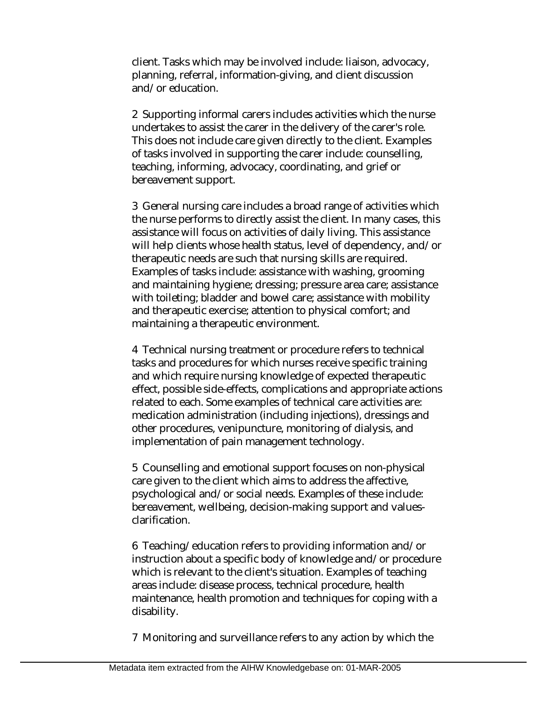client. Tasks which may be involved include: liaison, advocacy, planning, referral, information-giving, and client discussion and/or education.

2 Supporting informal carers includes activities which the nurse undertakes to assist the carer in the delivery of the carer's role. This does not include care given directly to the client. Examples of tasks involved in supporting the carer include: counselling, teaching, informing, advocacy, coordinating, and grief or bereavement support.

3 General nursing care includes a broad range of activities which the nurse performs to directly assist the client. In many cases, this assistance will focus on activities of daily living. This assistance will help clients whose health status, level of dependency, and/or therapeutic needs are such that nursing skills are required. Examples of tasks include: assistance with washing, grooming and maintaining hygiene; dressing; pressure area care; assistance with toileting; bladder and bowel care; assistance with mobility and therapeutic exercise; attention to physical comfort; and maintaining a therapeutic environment.

4 Technical nursing treatment or procedure refers to technical tasks and procedures for which nurses receive specific training and which require nursing knowledge of expected therapeutic effect, possible side-effects, complications and appropriate actions related to each. Some examples of technical care activities are: medication administration (including injections), dressings and other procedures, venipuncture, monitoring of dialysis, and implementation of pain management technology.

5 Counselling and emotional support focuses on non-physical care given to the client which aims to address the affective, psychological and/or social needs. Examples of these include: bereavement, wellbeing, decision-making support and valuesclarification.

6 Teaching/education refers to providing information and/or instruction about a specific body of knowledge and/or procedure which is relevant to the client's situation. Examples of teaching areas include: disease process, technical procedure, health maintenance, health promotion and techniques for coping with a disability.

7 Monitoring and surveillance refers to any action by which the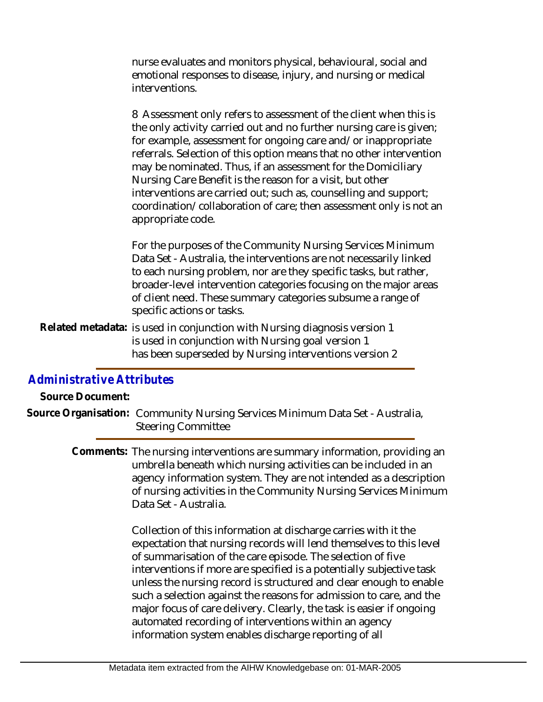nurse evaluates and monitors physical, behavioural, social and emotional responses to disease, injury, and nursing or medical interventions.

8 Assessment only refers to assessment of the client when this is the only activity carried out and no further nursing care is given; for example, assessment for ongoing care and/or inappropriate referrals. Selection of this option means that no other intervention may be nominated. Thus, if an assessment for the Domiciliary Nursing Care Benefit is the reason for a visit, but other interventions are carried out; such as, counselling and support; coordination/collaboration of care; then assessment only is not an appropriate code.

For the purposes of the Community Nursing Services Minimum Data Set - Australia, the interventions are not necessarily linked to each nursing problem, nor are they specific tasks, but rather, broader-level intervention categories focusing on the major areas of client need. These summary categories subsume a range of specific actions or tasks.

Related metadata: is used in conjunction with Nursing diagnosis version 1 is used in conjunction with Nursing goal version 1 has been superseded by Nursing interventions version 2

## *Administrative Attributes*

**Source Document:**

Source Organisation: Community Nursing Services Minimum Data Set - Australia, Steering Committee

> Comments: The nursing interventions are summary information, providing an umbrella beneath which nursing activities can be included in an agency information system. They are not intended as a description of nursing activities in the Community Nursing Services Minimum Data Set - Australia.

> > Collection of this information at discharge carries with it the expectation that nursing records will lend themselves to this level of summarisation of the care episode. The selection of five interventions if more are specified is a potentially subjective task unless the nursing record is structured and clear enough to enable such a selection against the reasons for admission to care, and the major focus of care delivery. Clearly, the task is easier if ongoing automated recording of interventions within an agency information system enables discharge reporting of all